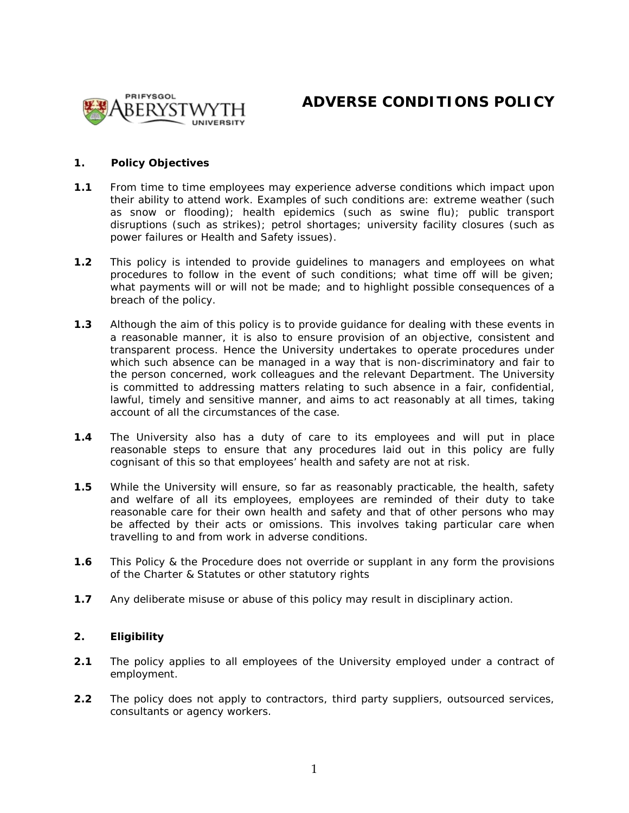

# **ADVERSE CONDITIONS POLICY**

### **1. Policy Objectives**

- **1.1** From time to time employees may experience adverse conditions which impact upon their ability to attend work. Examples of such conditions are: extreme weather (such as snow or flooding); health epidemics (such as swine flu); public transport disruptions (such as strikes); petrol shortages; university facility closures (such as power failures or Health and Safety issues).
- **1.2** This policy is intended to provide guidelines to managers and employees on what procedures to follow in the event of such conditions; what time off will be given; what payments will or will not be made; and to highlight possible consequences of a breach of the policy.
- **1.3** Although the aim of this policy is to provide guidance for dealing with these events in a reasonable manner, it is also to ensure provision of an objective, consistent and transparent process. Hence the University undertakes to operate procedures under which such absence can be managed in a way that is non-discriminatory and fair to the person concerned, work colleagues and the relevant Department. The University is committed to addressing matters relating to such absence in a fair, confidential, lawful, timely and sensitive manner, and aims to act reasonably at all times, taking account of all the circumstances of the case.
- **1.4** The University also has a duty of care to its employees and will put in place reasonable steps to ensure that any procedures laid out in this policy are fully cognisant of this so that employees' health and safety are not at risk.
- **1.5** While the University will ensure, so far as reasonably practicable, the health, safety and welfare of all its employees, employees are reminded of their duty to take reasonable care for their own health and safety and that of other persons who may be affected by their acts or omissions. This involves taking particular care when travelling to and from work in adverse conditions.
- **1.6** This Policy & the Procedure does not override or supplant in any form the provisions of the Charter & Statutes or other statutory rights
- **1.7** Any deliberate misuse or abuse of this policy may result in disciplinary action.

### **2. Eligibility**

- **2.1** The policy applies to all employees of the University employed under a contract of employment.
- **2.2** The policy does not apply to contractors, third party suppliers, outsourced services, consultants or agency workers.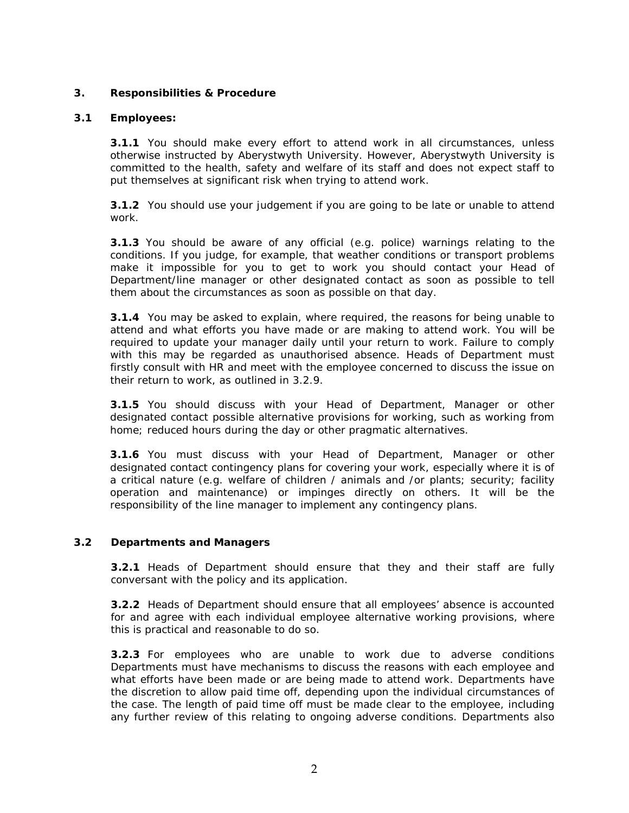# **3. Responsibilities & Procedure**

# **3.1 Employees:**

**3.1.1** You should make every effort to attend work in all circumstances, unless otherwise instructed by Aberystwyth University. However, Aberystwyth University is committed to the health, safety and welfare of its staff and does not expect staff to put themselves at significant risk when trying to attend work.

**3.1.2** You should use your judgement if you are going to be late or unable to attend work.

**3.1.3** You should be aware of any official (e.g. police) warnings relating to the conditions. If you judge, for example, that weather conditions or transport problems make it impossible for you to get to work you should contact your Head of Department/line manager or other designated contact as soon as possible to tell them about the circumstances as soon as possible on that day.

**3.1.4** You may be asked to explain, where required, the reasons for being unable to attend and what efforts you have made or are making to attend work. You will be required to update your manager daily until your return to work. Failure to comply with this may be regarded as unauthorised absence. Heads of Department must firstly consult with HR and meet with the employee concerned to discuss the issue on their return to work, as outlined in 3.2.9.

**3.1.5** You should discuss with your Head of Department, Manager or other designated contact possible alternative provisions for working, such as working from home; reduced hours during the day or other pragmatic alternatives.

**3.1.6** You must discuss with your Head of Department, Manager or other designated contact contingency plans for covering your work, especially where it is of a critical nature (e.g. welfare of children / animals and /or plants; security; facility operation and maintenance) or impinges directly on others. It will be the responsibility of the line manager to implement any contingency plans.

## **3.2 Departments and Managers**

**3.2.1** Heads of Department should ensure that they and their staff are fully conversant with the policy and its application.

**3.2.2** Heads of Department should ensure that all employees' absence is accounted for and agree with each individual employee alternative working provisions, where this is practical and reasonable to do so.

**3.2.3** For employees who are unable to work due to adverse conditions Departments must have mechanisms to discuss the reasons with each employee and what efforts have been made or are being made to attend work. Departments have the discretion to allow paid time off, depending upon the individual circumstances of the case. The length of paid time off must be made clear to the employee, including any further review of this relating to ongoing adverse conditions. Departments also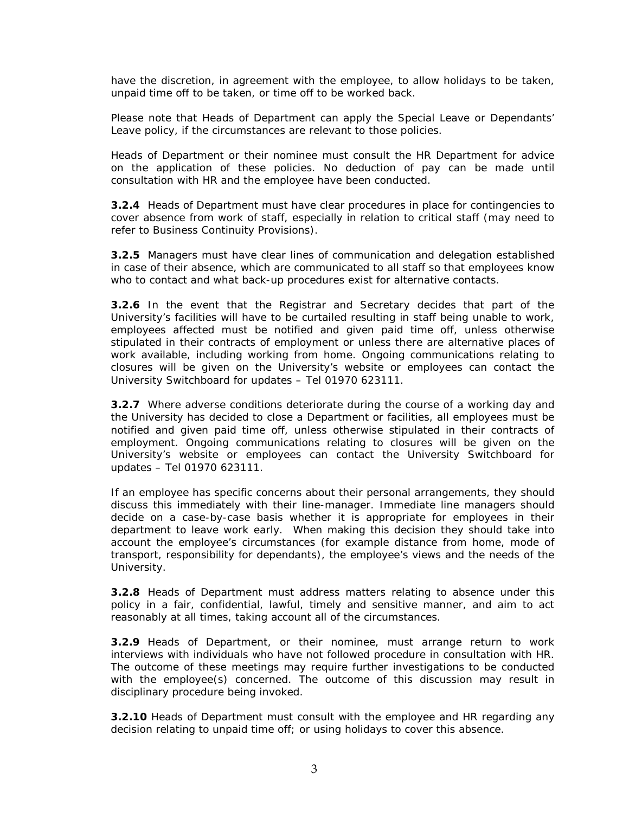have the discretion, in agreement with the employee, to allow holidays to be taken, unpaid time off to be taken, or time off to be worked back.

Please note that Heads of Department can apply the Special Leave or Dependants' Leave policy, if the circumstances are relevant to those policies.

Heads of Department or their nominee must consult the HR Department for advice on the application of these policies. No deduction of pay can be made until consultation with HR and the employee have been conducted.

**3.2.4** Heads of Department must have clear procedures in place for contingencies to cover absence from work of staff, especially in relation to critical staff (may need to refer to Business Continuity Provisions).

**3.2.5** Managers must have clear lines of communication and delegation established in case of their absence, which are communicated to all staff so that employees know who to contact and what back-up procedures exist for alternative contacts.

**3.2.6** In the event that the Registrar and Secretary decides that part of the University's facilities will have to be curtailed resulting in staff being unable to work, employees affected must be notified and given paid time off, unless otherwise stipulated in their contracts of employment or unless there are alternative places of work available, including working from home. Ongoing communications relating to closures will be given on the University's website or employees can contact the University Switchboard for updates – Tel 01970 623111.

**3.2.7** Where adverse conditions deteriorate during the course of a working day and the University has decided to close a Department or facilities, all employees must be notified and given paid time off, unless otherwise stipulated in their contracts of employment. Ongoing communications relating to closures will be given on the University's website or employees can contact the University Switchboard for updates – Tel 01970 623111.

If an employee has specific concerns about their personal arrangements, they should discuss this immediately with their line-manager. Immediate line managers should decide on a case-by-case basis whether it is appropriate for employees in their department to leave work early. When making this decision they should take into account the employee's circumstances (for example distance from home, mode of transport, responsibility for dependants), the employee's views and the needs of the University.

**3.2.8** Heads of Department must address matters relating to absence under this policy in a fair, confidential, lawful, timely and sensitive manner, and aim to act reasonably at all times, taking account all of the circumstances.

**3.2.9** Heads of Department, or their nominee, must arrange return to work interviews with individuals who have not followed procedure in consultation with HR. The outcome of these meetings may require further investigations to be conducted with the employee(s) concerned. The outcome of this discussion may result in disciplinary procedure being invoked.

**3.2.10** Heads of Department must consult with the employee and HR regarding any decision relating to unpaid time off; or using holidays to cover this absence.